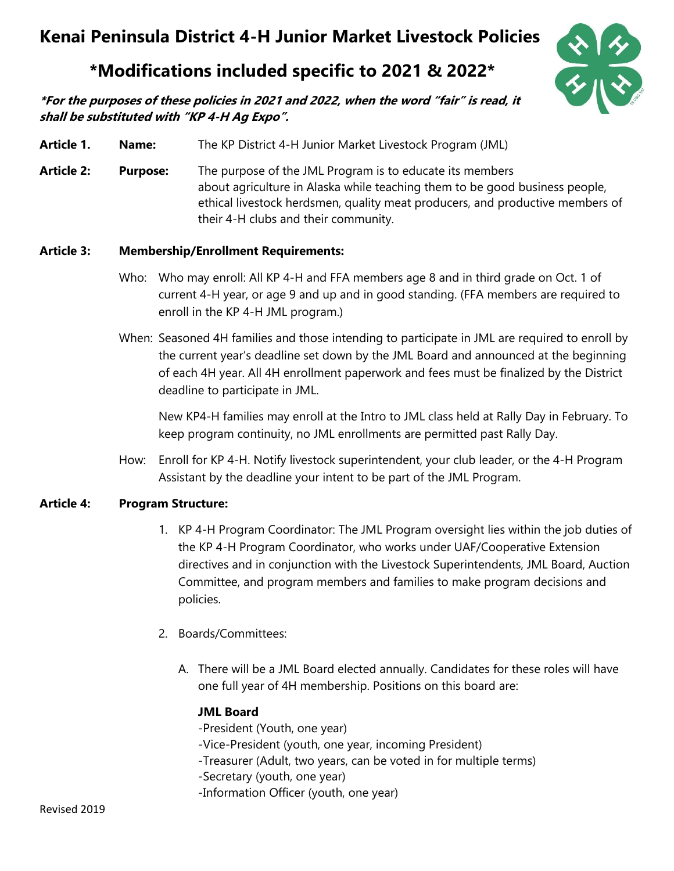# **Kenai Peninsula District 4-H Junior Market Livestock Policies**

# **\*Modifications included specific to 2021 & 2022\***

**\*For the purposes of these policies in 2021 and 2022, when the word "fair" is read, it shall be substituted with "KP 4-H Ag Expo".**

- **Article 1. Name:** The KP District 4-H Junior Market Livestock Program (JML)
- **Article 2: Purpose:** The purpose of the JML Program is to educate its members about agriculture in Alaska while teaching them to be good business people, ethical livestock herdsmen, quality meat producers, and productive members of their 4-H clubs and their community.

### **Article 3: Membership/Enrollment Requirements:**

- Who: Who may enroll: All KP 4-H and FFA members age 8 and in third grade on Oct. 1 of current 4-H year, or age 9 and up and in good standing. (FFA members are required to enroll in the KP 4-H JML program.)
- When: Seasoned 4H families and those intending to participate in JML are required to enroll by the current year's deadline set down by the JML Board and announced at the beginning of each 4H year. All 4H enrollment paperwork and fees must be finalized by the District deadline to participate in JML.

New KP4-H families may enroll at the Intro to JML class held at Rally Day in February. To keep program continuity, no JML enrollments are permitted past Rally Day.

How: Enroll for KP 4-H. Notify livestock superintendent, your club leader, or the 4-H Program Assistant by the deadline your intent to be part of the JML Program.

## **Article 4: Program Structure:**

- 1. KP 4-H Program Coordinator: The JML Program oversight lies within the job duties of the KP 4-H Program Coordinator, who works under UAF/Cooperative Extension directives and in conjunction with the Livestock Superintendents, JML Board, Auction Committee, and program members and families to make program decisions and policies.
- 2. Boards/Committees:
	- A. There will be a JML Board elected annually. Candidates for these roles will have one full year of 4H membership. Positions on this board are:

#### **JML Board**

-President (Youth, one year) -Vice-President (youth, one year, incoming President) -Treasurer (Adult, two years, can be voted in for multiple terms) -Secretary (youth, one year) -Information Officer (youth, one year)

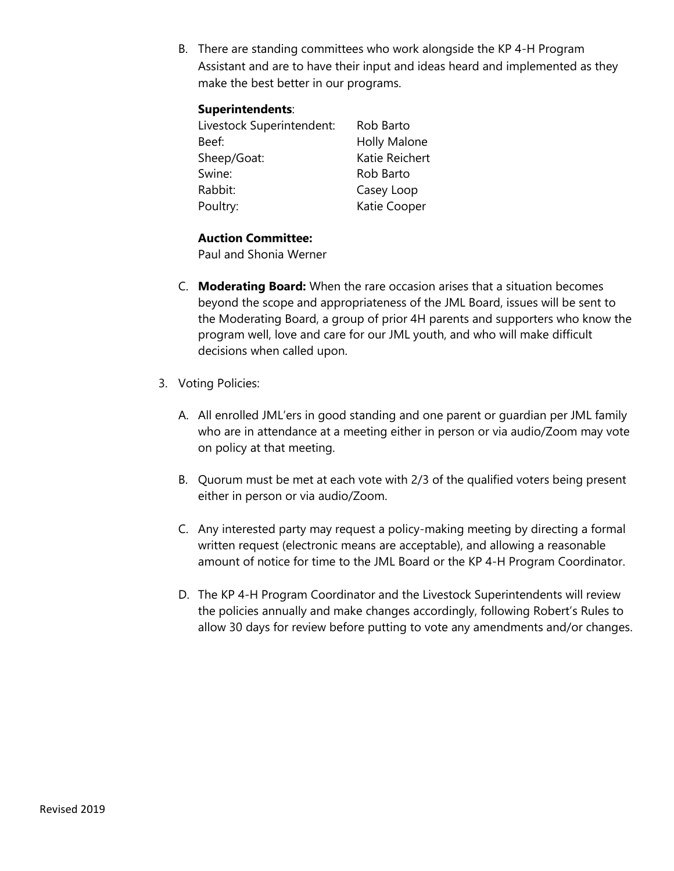B. There are standing committees who work alongside the KP 4-H Program Assistant and are to have their input and ideas heard and implemented as they make the best better in our programs.

#### **Superintendents**:

| Rob Barto           |
|---------------------|
| <b>Holly Malone</b> |
| Katie Reichert      |
| Rob Barto           |
| Casey Loop          |
| Katie Cooper        |
|                     |

#### **Auction Committee:**

Paul and Shonia Werner

- C. **Moderating Board:** When the rare occasion arises that a situation becomes beyond the scope and appropriateness of the JML Board, issues will be sent to the Moderating Board, a group of prior 4H parents and supporters who know the program well, love and care for our JML youth, and who will make difficult decisions when called upon.
- 3. Voting Policies:
	- A. All enrolled JML'ers in good standing and one parent or guardian per JML family who are in attendance at a meeting either in person or via audio/Zoom may vote on policy at that meeting.
	- B. Quorum must be met at each vote with 2/3 of the qualified voters being present either in person or via audio/Zoom.
	- C. Any interested party may request a policy-making meeting by directing a formal written request (electronic means are acceptable), and allowing a reasonable amount of notice for time to the JML Board or the KP 4-H Program Coordinator.
	- D. The KP 4-H Program Coordinator and the Livestock Superintendents will review the policies annually and make changes accordingly, following Robert's Rules to allow 30 days for review before putting to vote any amendments and/or changes.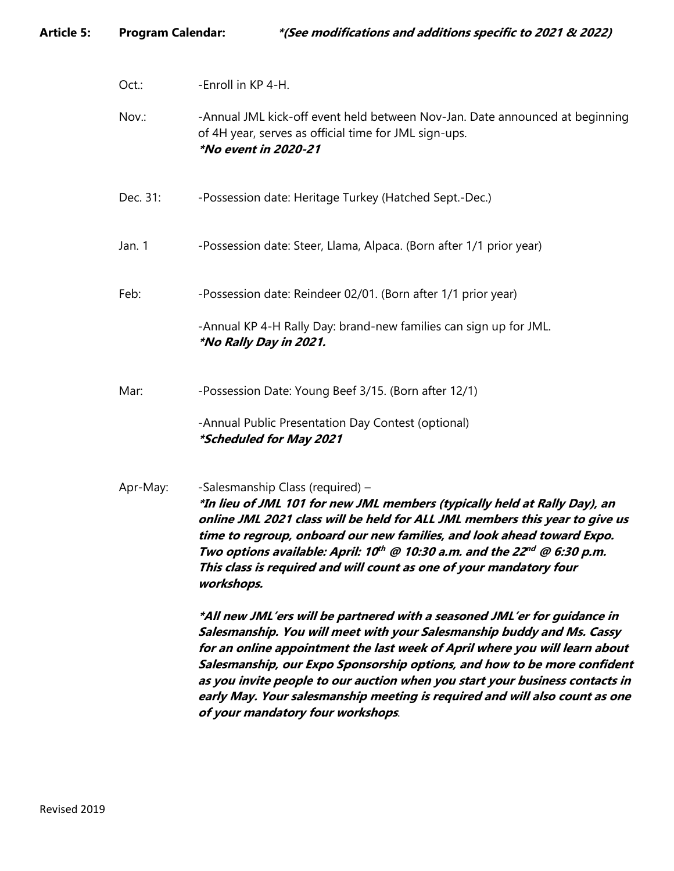Oct.: - Firroll in KP 4-H.

Nov.: The Annual JML kick-off event held between Nov-Jan. Date announced at beginning of 4H year, serves as official time for JML sign-ups. **\*No event in 2020-21**

Dec. 31: - Possession date: Heritage Turkey (Hatched Sept.-Dec.)

- Jan. 1 Possession date: Steer, Llama, Alpaca. (Born after 1/1 prior year)
- Feb: Feb: Feb: Possession date: Reindeer 02/01. (Born after 1/1 prior year)

-Annual KP 4-H Rally Day: brand-new families can sign up for JML. **\*No Rally Day in 2021.**

Mar: -Possession Date: Young Beef 3/15. (Born after 12/1)

-Annual Public Presentation Day Contest (optional) **\*Scheduled for May 2021**

Apr-May: -Salesmanship Class (required) – **\*In lieu of JML 101 for new JML members (typically held at Rally Day), an online JML 2021 class will be held for ALL JML members this year to give us time to regroup, onboard our new families, and look ahead toward Expo. Two options available: April: 10<sup>th</sup> @ 10:30 a.m. and the 22<sup>nd</sup> @ 6:30 p.m. This class is required and will count as one of your mandatory four workshops.**

> **\*All new JML'ers will be partnered with a seasoned JML'er for guidance in Salesmanship. You will meet with your Salesmanship buddy and Ms. Cassy for an online appointment the last week of April where you will learn about Salesmanship, our Expo Sponsorship options, and how to be more confident as you invite people to our auction when you start your business contacts in early May. Your salesmanship meeting is required and will also count as one of your mandatory four workshops**.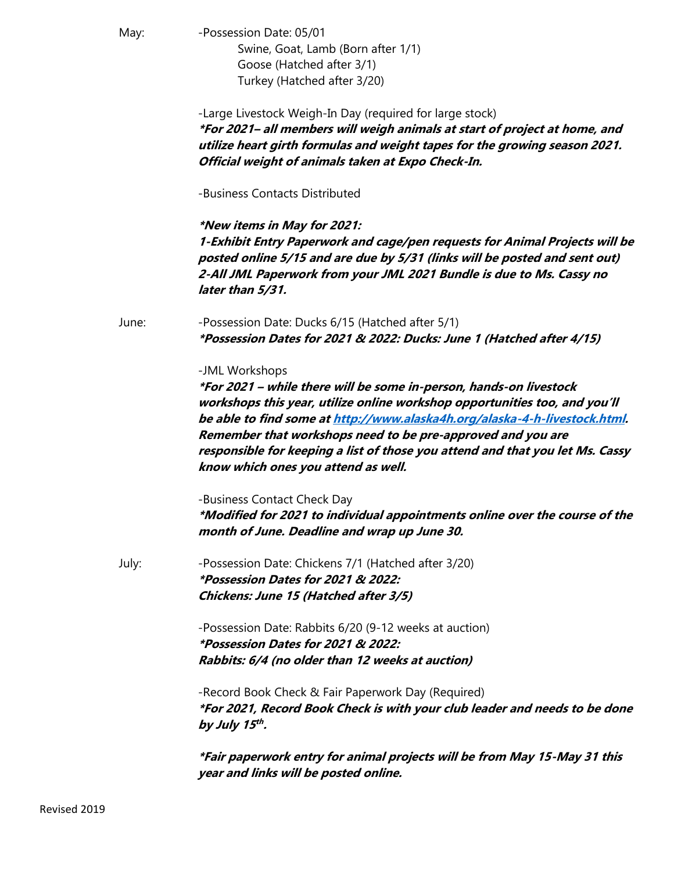| May:  | -Possession Date: 05/01<br>Swine, Goat, Lamb (Born after 1/1)<br>Goose (Hatched after 3/1)                                                                                                                                                                                                                                                                                                                                              |
|-------|-----------------------------------------------------------------------------------------------------------------------------------------------------------------------------------------------------------------------------------------------------------------------------------------------------------------------------------------------------------------------------------------------------------------------------------------|
|       | Turkey (Hatched after 3/20)<br>-Large Livestock Weigh-In Day (required for large stock)<br>*For 2021- all members will weigh animals at start of project at home, and<br>utilize heart girth formulas and weight tapes for the growing season 2021.<br>Official weight of animals taken at Expo Check-In.                                                                                                                               |
|       | -Business Contacts Distributed                                                                                                                                                                                                                                                                                                                                                                                                          |
|       | *New items in May for 2021:<br>1-Exhibit Entry Paperwork and cage/pen requests for Animal Projects will be<br>posted online 5/15 and are due by 5/31 (links will be posted and sent out)<br>2-All JML Paperwork from your JML 2021 Bundle is due to Ms. Cassy no<br>later than 5/31.                                                                                                                                                    |
| June: | -Possession Date: Ducks 6/15 (Hatched after 5/1)<br>*Possession Dates for 2021 & 2022: Ducks: June 1 (Hatched after 4/15)                                                                                                                                                                                                                                                                                                               |
|       | -JML Workshops<br>*For 2021 – while there will be some in-person, hands-on livestock<br>workshops this year, utilize online workshop opportunities too, and you'll<br>be able to find some at http://www.alaska4h.org/alaska-4-h-livestock.html.<br>Remember that workshops need to be pre-approved and you are<br>responsible for keeping a list of those you attend and that you let Ms. Cassy<br>know which ones you attend as well. |
|       | -Business Contact Check Day<br>*Modified for 2021 to individual appointments online over the course of the<br>month of June. Deadline and wrap up June 30.                                                                                                                                                                                                                                                                              |
| July: | -Possession Date: Chickens 7/1 (Hatched after 3/20)<br>*Possession Dates for 2021 & 2022:<br>Chickens: June 15 (Hatched after 3/5)                                                                                                                                                                                                                                                                                                      |
|       | -Possession Date: Rabbits 6/20 (9-12 weeks at auction)<br>*Possession Dates for 2021 & 2022:<br>Rabbits: 6/4 (no older than 12 weeks at auction)                                                                                                                                                                                                                                                                                        |
|       | -Record Book Check & Fair Paperwork Day (Required)<br>*For 2021, Record Book Check is with your club leader and needs to be done<br>by July 15th.                                                                                                                                                                                                                                                                                       |
|       | *Fair paperwork entry for animal projects will be from May 15-May 31 this<br>year and links will be posted online.                                                                                                                                                                                                                                                                                                                      |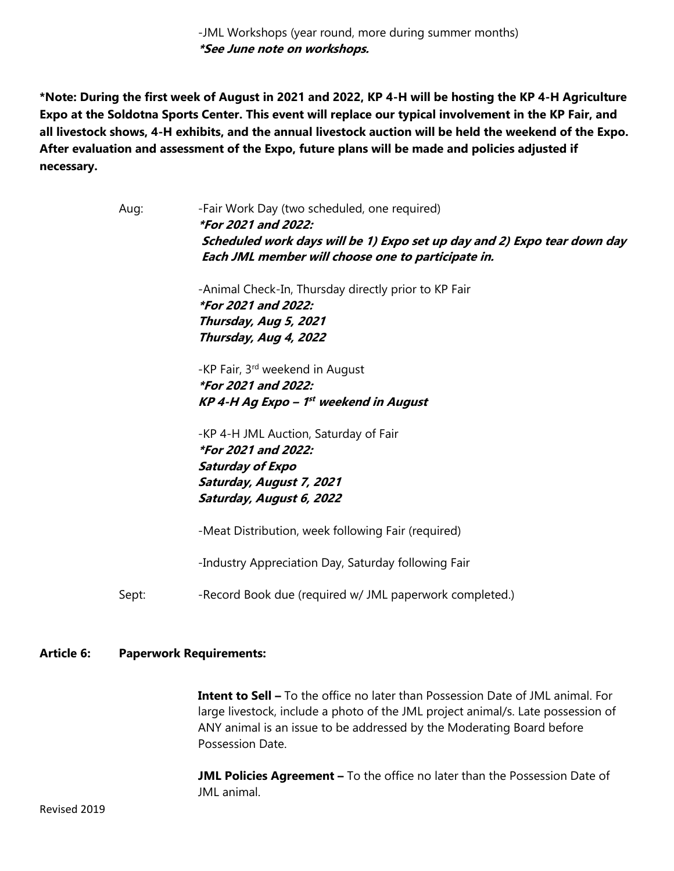-JML Workshops (year round, more during summer months) **\*See June note on workshops.**

**\*Note: During the first week of August in 2021 and 2022, KP 4-H will be hosting the KP 4-H Agriculture Expo at the Soldotna Sports Center. This event will replace our typical involvement in the KP Fair, and all livestock shows, 4-H exhibits, and the annual livestock auction will be held the weekend of the Expo. After evaluation and assessment of the Expo, future plans will be made and policies adjusted if necessary.** 

Aug: Fair Work Day (two scheduled, one required) **\*For 2021 and 2022: Scheduled work days will be 1) Expo set up day and 2) Expo tear down day Each JML member will choose one to participate in.**

> -Animal Check-In, Thursday directly prior to KP Fair **\*For 2021 and 2022: Thursday, Aug 5, 2021 Thursday, Aug 4, 2022**

-KP Fair, 3<sup>rd</sup> weekend in August **\*For 2021 and 2022: KP 4-H Ag Expo – 1 st weekend in August**

-KP 4-H JML Auction, Saturday of Fair **\*For 2021 and 2022: Saturday of Expo Saturday, August 7, 2021 Saturday, August 6, 2022**

-Meat Distribution, week following Fair (required)

-Industry Appreciation Day, Saturday following Fair

Sept: Faccord Book due (required w/ JML paperwork completed.)

## **Article 6: Paperwork Requirements:**

**Intent to Sell –** To the office no later than Possession Date of JML animal. For large livestock, include a photo of the JML project animal/s. Late possession of ANY animal is an issue to be addressed by the Moderating Board before Possession Date.

**JML Policies Agreement –** To the office no later than the Possession Date of JML animal.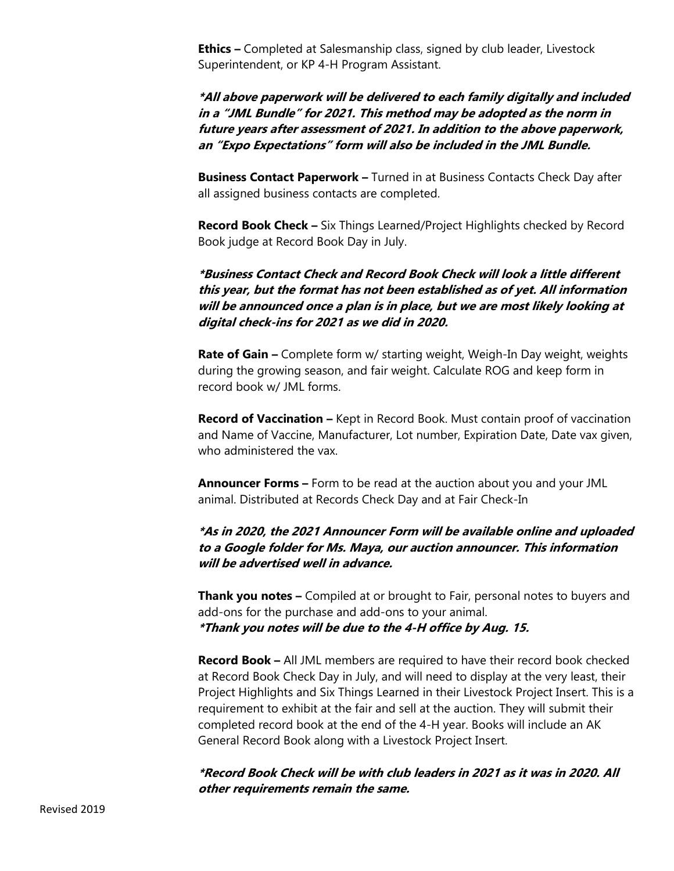**Ethics –** Completed at Salesmanship class, signed by club leader, Livestock Superintendent, or KP 4-H Program Assistant.

**\*All above paperwork will be delivered to each family digitally and included in a "JML Bundle" for 2021. This method may be adopted as the norm in future years after assessment of 2021. In addition to the above paperwork, an "Expo Expectations" form will also be included in the JML Bundle.** 

**Business Contact Paperwork –** Turned in at Business Contacts Check Day after all assigned business contacts are completed.

**Record Book Check –** Six Things Learned/Project Highlights checked by Record Book judge at Record Book Day in July.

**\*Business Contact Check and Record Book Check will look a little different this year, but the format has not been established as of yet. All information will be announced once a plan is in place, but we are most likely looking at digital check-ins for 2021 as we did in 2020.**

**Rate of Gain –** Complete form w/ starting weight, Weigh-In Day weight, weights during the growing season, and fair weight. Calculate ROG and keep form in record book w/ JML forms.

**Record of Vaccination –** Kept in Record Book. Must contain proof of vaccination and Name of Vaccine, Manufacturer, Lot number, Expiration Date, Date vax given, who administered the vax.

**Announcer Forms –** Form to be read at the auction about you and your JML animal. Distributed at Records Check Day and at Fair Check-In

## **\*As in 2020, the 2021 Announcer Form will be available online and uploaded to a Google folder for Ms. Maya, our auction announcer. This information will be advertised well in advance.**

**Thank you notes –** Compiled at or brought to Fair, personal notes to buyers and add-ons for the purchase and add-ons to your animal. **\*Thank you notes will be due to the 4-H office by Aug. 15.**

**Record Book –** All JML members are required to have their record book checked at Record Book Check Day in July, and will need to display at the very least, their Project Highlights and Six Things Learned in their Livestock Project Insert. This is a requirement to exhibit at the fair and sell at the auction. They will submit their completed record book at the end of the 4-H year. Books will include an AK General Record Book along with a Livestock Project Insert.

**\*Record Book Check will be with club leaders in 2021 as it was in 2020. All other requirements remain the same.**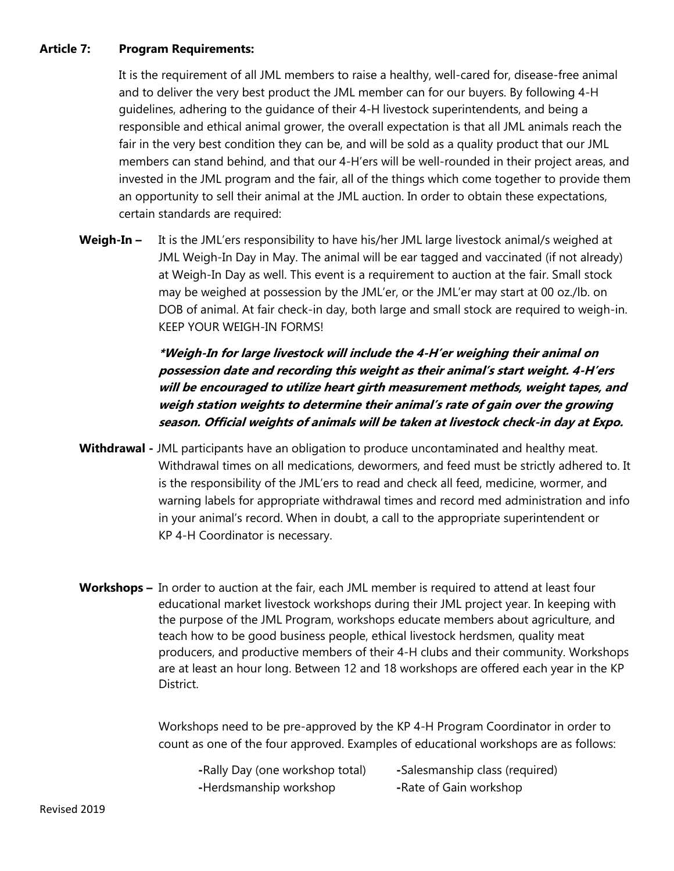### **Article 7: Program Requirements:**

It is the requirement of all JML members to raise a healthy, well-cared for, disease-free animal and to deliver the very best product the JML member can for our buyers. By following 4-H guidelines, adhering to the guidance of their 4-H livestock superintendents, and being a responsible and ethical animal grower, the overall expectation is that all JML animals reach the fair in the very best condition they can be, and will be sold as a quality product that our JML members can stand behind, and that our 4-H'ers will be well-rounded in their project areas, and invested in the JML program and the fair, all of the things which come together to provide them an opportunity to sell their animal at the JML auction. In order to obtain these expectations, certain standards are required:

**Weigh-In –** It is the JML'ers responsibility to have his/her JML large livestock animal/s weighed at JML Weigh-In Day in May. The animal will be ear tagged and vaccinated (if not already) at Weigh-In Day as well. This event is a requirement to auction at the fair. Small stock may be weighed at possession by the JML'er, or the JML'er may start at 00 oz./lb. on DOB of animal. At fair check-in day, both large and small stock are required to weigh-in. KEEP YOUR WEIGH-IN FORMS!

> **\*Weigh-In for large livestock will include the 4-H'er weighing their animal on possession date and recording this weight as their animal's start weight. 4-H'ers will be encouraged to utilize heart girth measurement methods, weight tapes, and weigh station weights to determine their animal's rate of gain over the growing season. Official weights of animals will be taken at livestock check-in day at Expo.**

- **Withdrawal -** JML participants have an obligation to produce uncontaminated and healthy meat. Withdrawal times on all medications, dewormers, and feed must be strictly adhered to. It is the responsibility of the JML'ers to read and check all feed, medicine, wormer, and warning labels for appropriate withdrawal times and record med administration and info in your animal's record. When in doubt, a call to the appropriate superintendent or KP 4-H Coordinator is necessary.
- **Workshops –** In order to auction at the fair, each JML member is required to attend at least four educational market livestock workshops during their JML project year. In keeping with the purpose of the JML Program, workshops educate members about agriculture, and teach how to be good business people, ethical livestock herdsmen, quality meat producers, and productive members of their 4-H clubs and their community. Workshops are at least an hour long. Between 12 and 18 workshops are offered each year in the KP District.

Workshops need to be pre-approved by the KP 4-H Program Coordinator in order to count as one of the four approved. Examples of educational workshops are as follows:

**-**Rally Day (one workshop total) **-**Salesmanship class (required) **-**Herdsmanship workshop **-**Rate of Gain workshop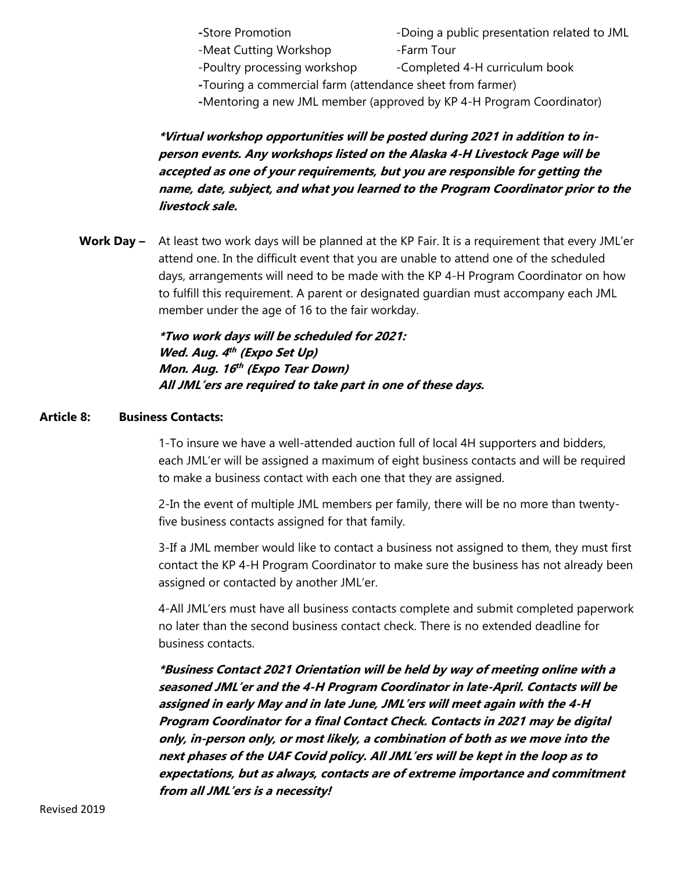- -Store Promotion **-Doing a public presentation related to JML**
- -Meat Cutting Workshop Farm Tour
- 

-Poultry processing workshop -Completed 4-H curriculum book

**-**Touring a commercial farm (attendance sheet from farmer)

**-**Mentoring a new JML member (approved by KP 4-H Program Coordinator)

# **\*Virtual workshop opportunities will be posted during 2021 in addition to inperson events. Any workshops listed on the Alaska 4-H Livestock Page will be accepted as one of your requirements, but you are responsible for getting the name, date, subject, and what you learned to the Program Coordinator prior to the livestock sale.**

**Work Day –** At least two work days will be planned at the KP Fair. It is a requirement that every JML'er attend one. In the difficult event that you are unable to attend one of the scheduled days, arrangements will need to be made with the KP 4-H Program Coordinator on how to fulfill this requirement. A parent or designated guardian must accompany each JML member under the age of 16 to the fair workday.

> **\*Two work days will be scheduled for 2021: Wed. Aug. 4 th (Expo Set Up) Mon. Aug. 16 th (Expo Tear Down) All JML'ers are required to take part in one of these days.**

#### **Article 8: Business Contacts:**

1-To insure we have a well-attended auction full of local 4H supporters and bidders, each JML'er will be assigned a maximum of eight business contacts and will be required to make a business contact with each one that they are assigned.

2-In the event of multiple JML members per family, there will be no more than twentyfive business contacts assigned for that family.

3-If a JML member would like to contact a business not assigned to them, they must first contact the KP 4-H Program Coordinator to make sure the business has not already been assigned or contacted by another JML'er.

4-All JML'ers must have all business contacts complete and submit completed paperwork no later than the second business contact check. There is no extended deadline for business contacts.

**\*Business Contact 2021 Orientation will be held by way of meeting online with a seasoned JML'er and the 4-H Program Coordinator in late-April. Contacts will be assigned in early May and in late June, JML'ers will meet again with the 4-H Program Coordinator for a final Contact Check. Contacts in 2021 may be digital only, in-person only, or most likely, a combination of both as we move into the next phases of the UAF Covid policy. All JML'ers will be kept in the loop as to expectations, but as always, contacts are of extreme importance and commitment from all JML'ers is a necessity!**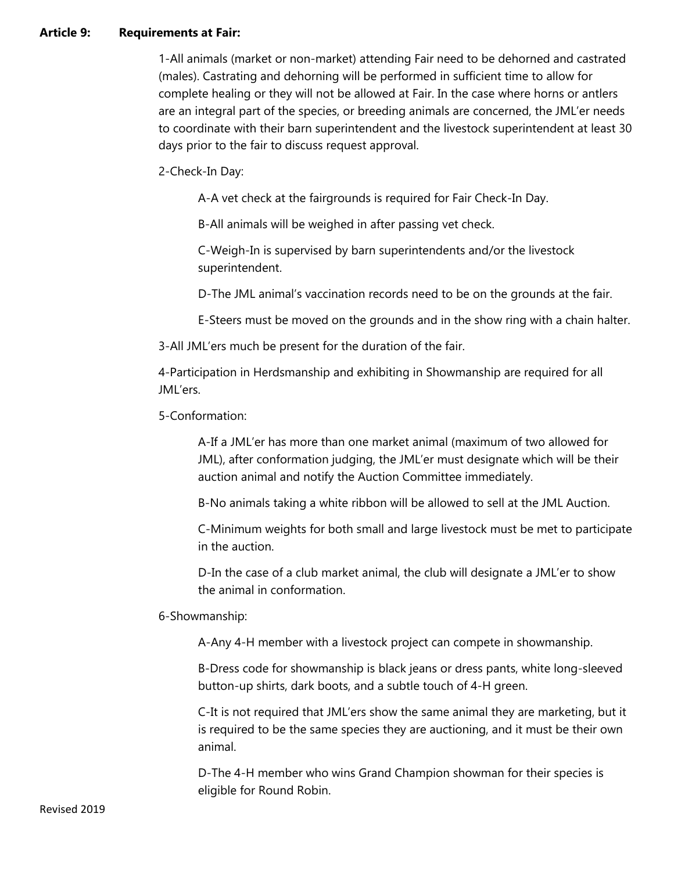#### **Article 9: Requirements at Fair:**

1-All animals (market or non-market) attending Fair need to be dehorned and castrated (males). Castrating and dehorning will be performed in sufficient time to allow for complete healing or they will not be allowed at Fair. In the case where horns or antlers are an integral part of the species, or breeding animals are concerned, the JML'er needs to coordinate with their barn superintendent and the livestock superintendent at least 30 days prior to the fair to discuss request approval.

2-Check-In Day:

A-A vet check at the fairgrounds is required for Fair Check-In Day.

B-All animals will be weighed in after passing vet check.

C-Weigh-In is supervised by barn superintendents and/or the livestock superintendent.

D-The JML animal's vaccination records need to be on the grounds at the fair.

E-Steers must be moved on the grounds and in the show ring with a chain halter.

3-All JML'ers much be present for the duration of the fair.

4-Participation in Herdsmanship and exhibiting in Showmanship are required for all JML'ers.

5-Conformation:

A-If a JML'er has more than one market animal (maximum of two allowed for JML), after conformation judging, the JML'er must designate which will be their auction animal and notify the Auction Committee immediately.

B-No animals taking a white ribbon will be allowed to sell at the JML Auction.

C-Minimum weights for both small and large livestock must be met to participate in the auction.

D-In the case of a club market animal, the club will designate a JML'er to show the animal in conformation.

6-Showmanship:

A-Any 4-H member with a livestock project can compete in showmanship.

B-Dress code for showmanship is black jeans or dress pants, white long-sleeved button-up shirts, dark boots, and a subtle touch of 4-H green.

C-It is not required that JML'ers show the same animal they are marketing, but it is required to be the same species they are auctioning, and it must be their own animal.

D-The 4-H member who wins Grand Champion showman for their species is eligible for Round Robin.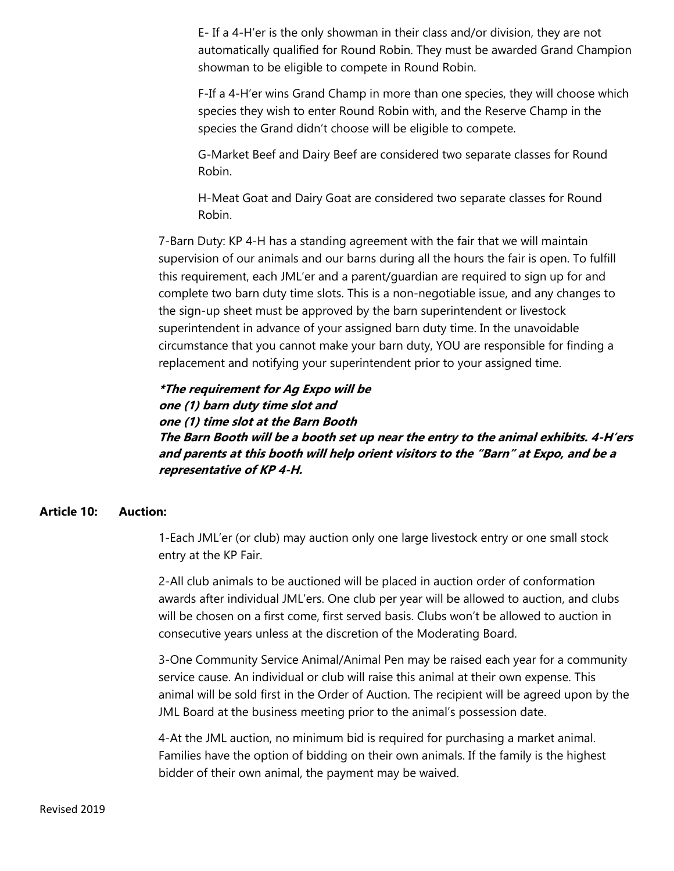E- If a 4-H'er is the only showman in their class and/or division, they are not automatically qualified for Round Robin. They must be awarded Grand Champion showman to be eligible to compete in Round Robin.

F-If a 4-H'er wins Grand Champ in more than one species, they will choose which species they wish to enter Round Robin with, and the Reserve Champ in the species the Grand didn't choose will be eligible to compete.

G-Market Beef and Dairy Beef are considered two separate classes for Round Robin.

H-Meat Goat and Dairy Goat are considered two separate classes for Round Robin.

7-Barn Duty: KP 4-H has a standing agreement with the fair that we will maintain supervision of our animals and our barns during all the hours the fair is open. To fulfill this requirement, each JML'er and a parent/guardian are required to sign up for and complete two barn duty time slots. This is a non-negotiable issue, and any changes to the sign-up sheet must be approved by the barn superintendent or livestock superintendent in advance of your assigned barn duty time. In the unavoidable circumstance that you cannot make your barn duty, YOU are responsible for finding a replacement and notifying your superintendent prior to your assigned time.

**\*The requirement for Ag Expo will be one (1) barn duty time slot and one (1) time slot at the Barn Booth The Barn Booth will be a booth set up near the entry to the animal exhibits. 4-H'ers and parents at this booth will help orient visitors to the "Barn" at Expo, and be a representative of KP 4-H.**

#### **Article 10: Auction:**

1-Each JML'er (or club) may auction only one large livestock entry or one small stock entry at the KP Fair.

2-All club animals to be auctioned will be placed in auction order of conformation awards after individual JML'ers. One club per year will be allowed to auction, and clubs will be chosen on a first come, first served basis. Clubs won't be allowed to auction in consecutive years unless at the discretion of the Moderating Board.

3-One Community Service Animal/Animal Pen may be raised each year for a community service cause. An individual or club will raise this animal at their own expense. This animal will be sold first in the Order of Auction. The recipient will be agreed upon by the JML Board at the business meeting prior to the animal's possession date.

4-At the JML auction, no minimum bid is required for purchasing a market animal. Families have the option of bidding on their own animals. If the family is the highest bidder of their own animal, the payment may be waived.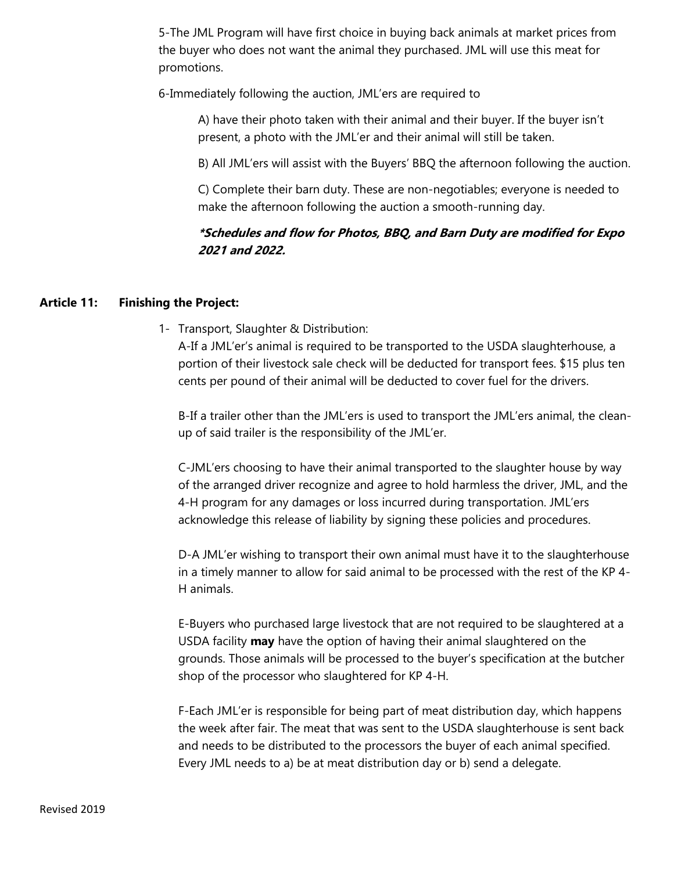5-The JML Program will have first choice in buying back animals at market prices from the buyer who does not want the animal they purchased. JML will use this meat for promotions.

6-Immediately following the auction, JML'ers are required to

A) have their photo taken with their animal and their buyer. If the buyer isn't present, a photo with the JML'er and their animal will still be taken.

B) All JML'ers will assist with the Buyers' BBQ the afternoon following the auction.

C) Complete their barn duty. These are non-negotiables; everyone is needed to make the afternoon following the auction a smooth-running day.

## **\*Schedules and flow for Photos, BBQ, and Barn Duty are modified for Expo 2021 and 2022.**

#### **Article 11: Finishing the Project:**

1- Transport, Slaughter & Distribution:

A-If a JML'er's animal is required to be transported to the USDA slaughterhouse, a portion of their livestock sale check will be deducted for transport fees. \$15 plus ten cents per pound of their animal will be deducted to cover fuel for the drivers.

B-If a trailer other than the JML'ers is used to transport the JML'ers animal, the cleanup of said trailer is the responsibility of the JML'er.

C-JML'ers choosing to have their animal transported to the slaughter house by way of the arranged driver recognize and agree to hold harmless the driver, JML, and the 4-H program for any damages or loss incurred during transportation. JML'ers acknowledge this release of liability by signing these policies and procedures.

D-A JML'er wishing to transport their own animal must have it to the slaughterhouse in a timely manner to allow for said animal to be processed with the rest of the KP 4- H animals.

E-Buyers who purchased large livestock that are not required to be slaughtered at a USDA facility **may** have the option of having their animal slaughtered on the grounds. Those animals will be processed to the buyer's specification at the butcher shop of the processor who slaughtered for KP 4-H.

F-Each JML'er is responsible for being part of meat distribution day, which happens the week after fair. The meat that was sent to the USDA slaughterhouse is sent back and needs to be distributed to the processors the buyer of each animal specified. Every JML needs to a) be at meat distribution day or b) send a delegate.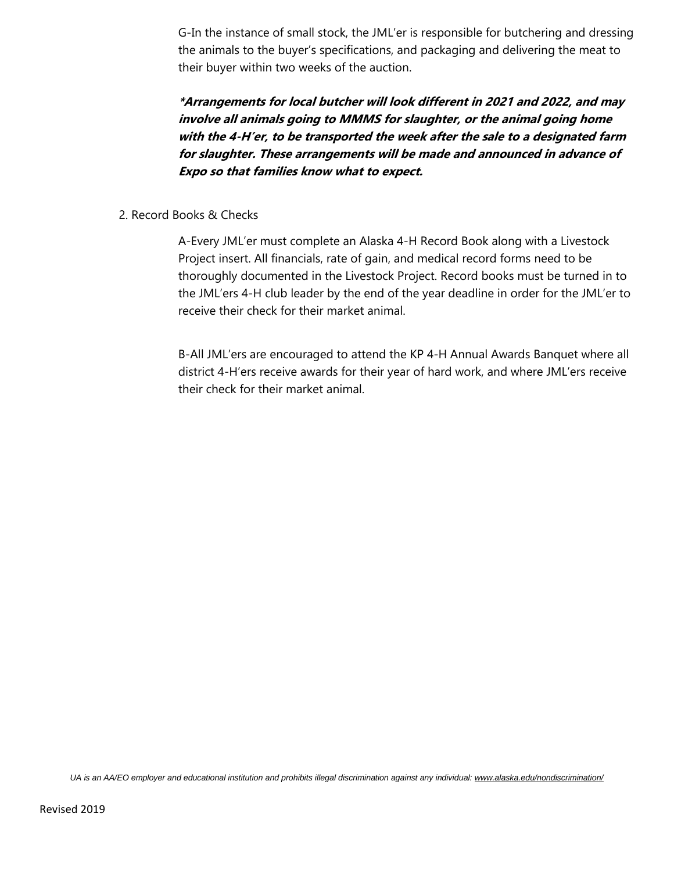G-In the instance of small stock, the JML'er is responsible for butchering and dressing the animals to the buyer's specifications, and packaging and delivering the meat to their buyer within two weeks of the auction.

**\*Arrangements for local butcher will look different in 2021 and 2022, and may involve all animals going to MMMS for slaughter, or the animal going home with the 4-H'er, to be transported the week after the sale to a designated farm for slaughter. These arrangements will be made and announced in advance of Expo so that families know what to expect.**

2. Record Books & Checks

A-Every JML'er must complete an Alaska 4-H Record Book along with a Livestock Project insert. All financials, rate of gain, and medical record forms need to be thoroughly documented in the Livestock Project. Record books must be turned in to the JML'ers 4-H club leader by the end of the year deadline in order for the JML'er to receive their check for their market animal.

B-All JML'ers are encouraged to attend the KP 4-H Annual Awards Banquet where all district 4-H'ers receive awards for their year of hard work, and where JML'ers receive their check for their market animal.

*UA is an AA/EO employer and educational institution and prohibits illegal discrimination against any individual: [www.alaska.edu/nondiscrimination/](http://www.alaska.edu/nondiscrimination/)*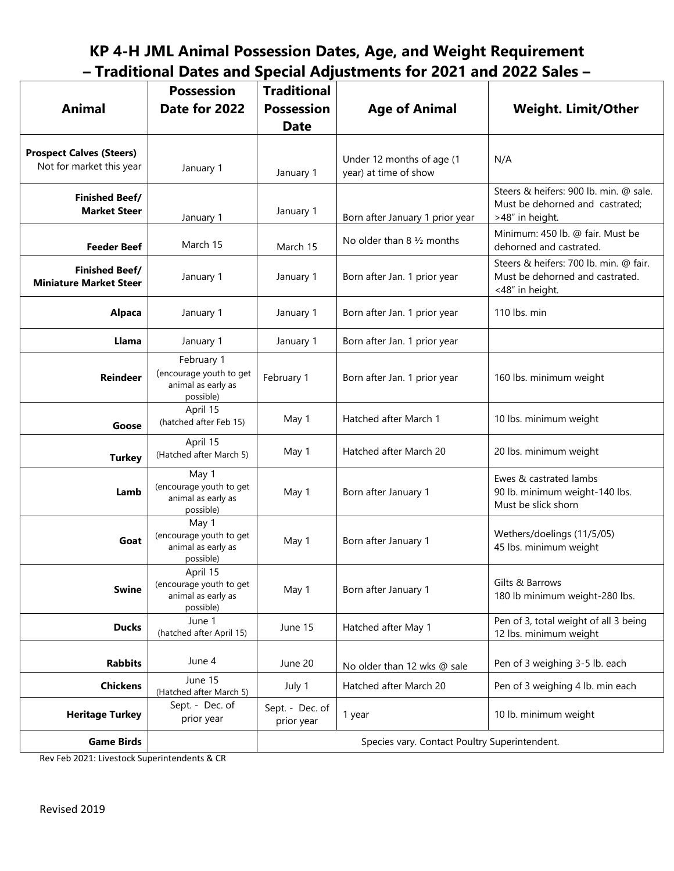# **KP 4-H JML Animal Possession Dates, Age, and Weight Requirement – Traditional Dates and Special Adjustments for 2021 and 2022 Sales –**

|                                                             | <b>Possession</b><br>Date for 2022                                       | <b>Traditional</b>                            |                                                    |                                                                                              |
|-------------------------------------------------------------|--------------------------------------------------------------------------|-----------------------------------------------|----------------------------------------------------|----------------------------------------------------------------------------------------------|
| <b>Animal</b>                                               |                                                                          | <b>Possession</b><br><b>Date</b>              | <b>Age of Animal</b>                               | <b>Weight. Limit/Other</b>                                                                   |
| <b>Prospect Calves (Steers)</b><br>Not for market this year | January 1                                                                | January 1                                     | Under 12 months of age (1<br>year) at time of show | N/A                                                                                          |
| <b>Finished Beef/</b><br><b>Market Steer</b>                | January 1                                                                | January 1                                     | Born after January 1 prior year                    | Steers & heifers: 900 lb. min. @ sale.<br>Must be dehorned and castrated;<br>>48" in height. |
| <b>Feeder Beef</b>                                          | March 15                                                                 | March 15                                      | No older than $8\frac{1}{2}$ months                | Minimum: 450 lb. @ fair. Must be<br>dehorned and castrated.                                  |
| <b>Finished Beef/</b><br><b>Miniature Market Steer</b>      | January 1                                                                | January 1                                     | Born after Jan. 1 prior year                       | Steers & heifers: 700 lb. min. @ fair.<br>Must be dehorned and castrated.<br><48" in height. |
| <b>Alpaca</b>                                               | January 1                                                                | January 1                                     | Born after Jan. 1 prior year                       | 110 lbs. min                                                                                 |
| Llama                                                       | January 1                                                                | January 1                                     | Born after Jan. 1 prior year                       |                                                                                              |
| <b>Reindeer</b>                                             | February 1<br>(encourage youth to get<br>animal as early as<br>possible) | February 1                                    | Born after Jan. 1 prior year                       | 160 lbs. minimum weight                                                                      |
| Goose                                                       | April 15<br>(hatched after Feb 15)                                       | May 1                                         | Hatched after March 1                              | 10 lbs. minimum weight                                                                       |
| <b>Turkey</b>                                               | April 15<br>(Hatched after March 5)                                      | May 1                                         | Hatched after March 20                             | 20 lbs. minimum weight                                                                       |
| Lamb                                                        | May 1<br>(encourage youth to get<br>animal as early as<br>possible)      | May 1                                         | Born after January 1                               | Ewes & castrated lambs<br>90 lb. minimum weight-140 lbs.<br>Must be slick shorn              |
| Goat                                                        | May 1<br>(encourage youth to get<br>animal as early as<br>possible)      | May 1                                         | Born after January 1                               | Wethers/doelings (11/5/05)<br>45 lbs. minimum weight                                         |
| <b>Swine</b>                                                | April 15<br>(encourage youth to get<br>animal as early as<br>possible)   | May 1                                         | Born after January 1                               | Gilts & Barrows<br>180 lb minimum weight-280 lbs.                                            |
| <b>Ducks</b>                                                | June 1<br>(hatched after April 15)                                       | June 15                                       | Hatched after May 1                                | Pen of 3, total weight of all 3 being<br>12 lbs. minimum weight                              |
| <b>Rabbits</b>                                              | June 4                                                                   | June 20                                       | No older than 12 wks @ sale                        | Pen of 3 weighing 3-5 lb. each                                                               |
| <b>Chickens</b>                                             | June 15<br>(Hatched after March 5)                                       | July 1                                        | Hatched after March 20                             | Pen of 3 weighing 4 lb. min each                                                             |
| <b>Heritage Turkey</b>                                      | Sept. - Dec. of<br>prior year                                            | Sept. - Dec. of<br>prior year                 | 1 year                                             | 10 lb. minimum weight                                                                        |
| <b>Game Birds</b>                                           |                                                                          | Species vary. Contact Poultry Superintendent. |                                                    |                                                                                              |

Rev Feb 2021: Livestock Superintendents & CR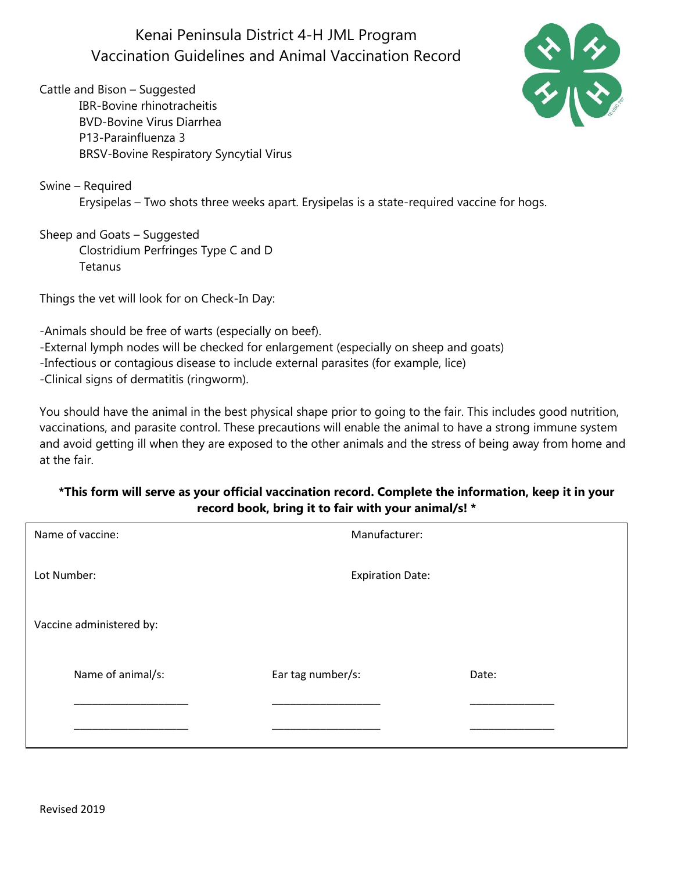# Kenai Peninsula District 4-H JML Program Vaccination Guidelines and Animal Vaccination Record



Cattle and Bison – Suggested IBR-Bovine rhinotracheitis BVD-Bovine Virus Diarrhea P13-Parainfluenza 3 BRSV-Bovine Respiratory Syncytial Virus

Swine – Required Erysipelas – Two shots three weeks apart. Erysipelas is a state-required vaccine for hogs.

Sheep and Goats – Suggested Clostridium Perfringes Type C and D Tetanus

Things the vet will look for on Check-In Day:

-Animals should be free of warts (especially on beef). -External lymph nodes will be checked for enlargement (especially on sheep and goats) -Infectious or contagious disease to include external parasites (for example, lice) -Clinical signs of dermatitis (ringworm).

You should have the animal in the best physical shape prior to going to the fair. This includes good nutrition, vaccinations, and parasite control. These precautions will enable the animal to have a strong immune system and avoid getting ill when they are exposed to the other animals and the stress of being away from home and at the fair.

## **\*This form will serve as your official vaccination record. Complete the information, keep it in your record book, bring it to fair with your animal/s! \***

| Name of vaccine:         | Manufacturer:           |       |
|--------------------------|-------------------------|-------|
| Lot Number:              | <b>Expiration Date:</b> |       |
| Vaccine administered by: |                         |       |
| Name of animal/s:        | Ear tag number/s:       | Date: |
|                          |                         |       |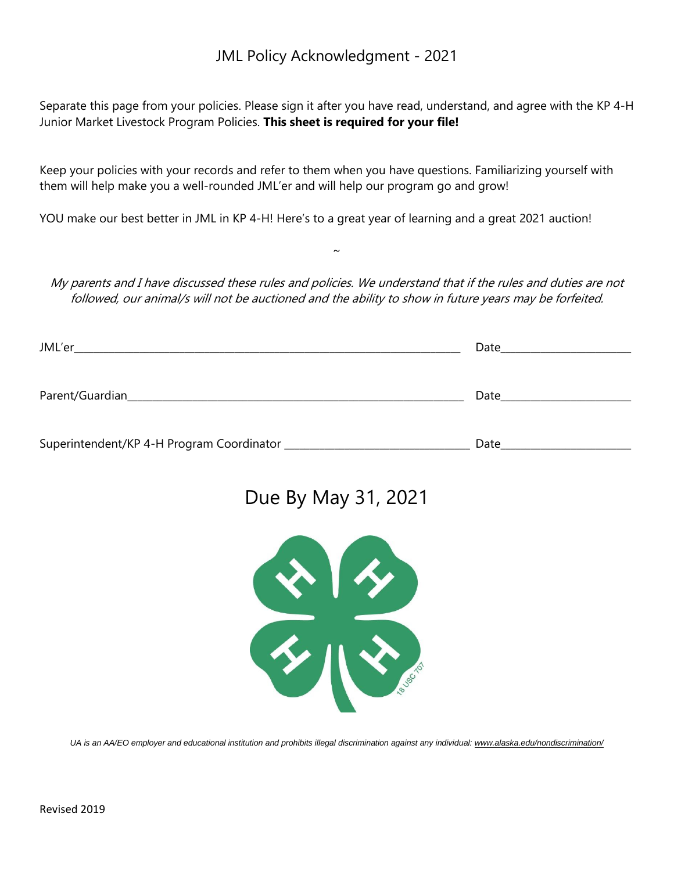Separate this page from your policies. Please sign it after you have read, understand, and agree with the KP 4-H Junior Market Livestock Program Policies. **This sheet is required for your file!**

Keep your policies with your records and refer to them when you have questions. Familiarizing yourself with them will help make you a well-rounded JML'er and will help our program go and grow!

YOU make our best better in JML in KP 4-H! Here's to a great year of learning and a great 2021 auction!

My parents and I have discussed these rules and policies. We understand that if the rules and duties are not followed, our animal/s will not be auctioned and the ability to show in future years may be forfeited.

~

| JML'er                                    | Date |
|-------------------------------------------|------|
|                                           |      |
| Parent/Guardian_                          | Date |
|                                           |      |
| Superintendent/KP 4-H Program Coordinator | Date |

# Due By May 31, 2021



*UA is an AA/EO employer and educational institution and prohibits illegal discrimination against any individual: [www.alaska.edu/nondiscrimination/](http://www.alaska.edu/nondiscrimination/)*